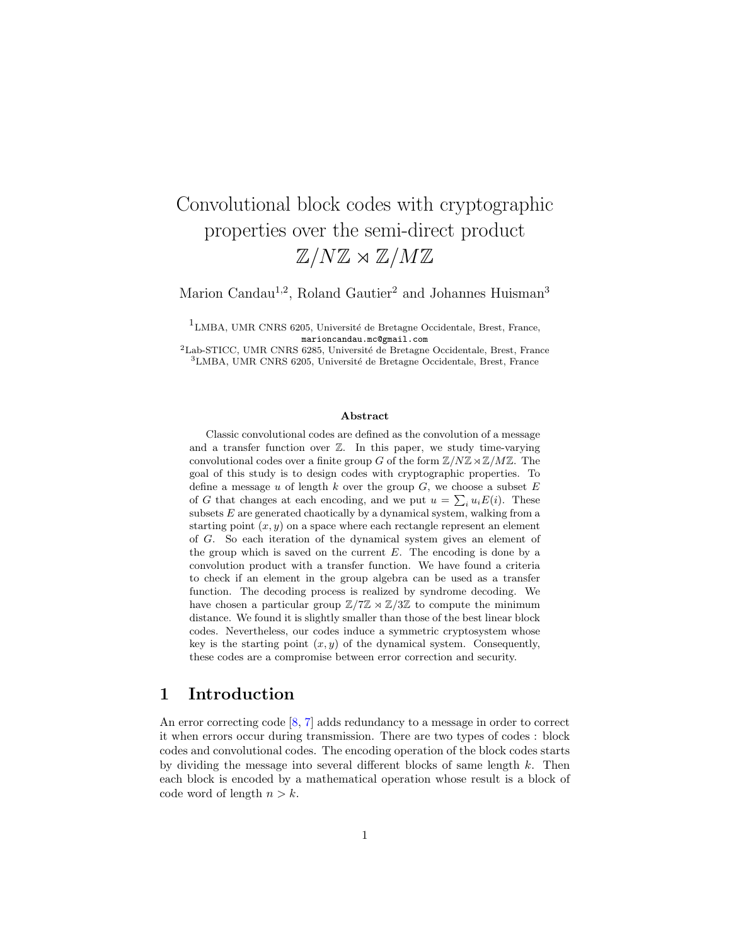# Convolutional block codes with cryptographic properties over the semi-direct product  $\mathbb{Z}/N\mathbb{Z} \rtimes \mathbb{Z}/M\mathbb{Z}$

Marion Candau<sup>1,2</sup>, Roland Gautier<sup>2</sup> and Johannes Huisman<sup>3</sup>

<sup>1</sup>LMBA, UMR CNRS 6205, Université de Bretagne Occidentale, Brest, France, marioncandau.mc@gmail.com

<sup>2</sup>Lab-STICC, UMR CNRS 6285, Université de Bretagne Occidentale, Brest, France <sup>3</sup>LMBA, UMR CNRS 6205, Université de Bretagne Occidentale, Brest, France

#### Abstract

Classic convolutional codes are defined as the convolution of a message and a transfer function over  $\mathbb{Z}$ . In this paper, we study time-varying convolutional codes over a finite group G of the form  $\mathbb{Z}/N\mathbb{Z} \rtimes \mathbb{Z}/M\mathbb{Z}$ . The goal of this study is to design codes with cryptographic properties. To define a message  $u$  of length  $k$  over the group  $G$ , we choose a subset  $E$ of G that changes at each encoding, and we put  $u = \sum_i u_i E(i)$ . These subsets  $E$  are generated chaotically by a dynamical system, walking from a starting point  $(x, y)$  on a space where each rectangle represent an element of G. So each iteration of the dynamical system gives an element of the group which is saved on the current  $E$ . The encoding is done by a convolution product with a transfer function. We have found a criteria to check if an element in the group algebra can be used as a transfer function. The decoding process is realized by syndrome decoding. We have chosen a particular group  $\mathbb{Z}/7\mathbb{Z} \rtimes \mathbb{Z}/3\mathbb{Z}$  to compute the minimum distance. We found it is slightly smaller than those of the best linear block codes. Nevertheless, our codes induce a symmetric cryptosystem whose key is the starting point  $(x, y)$  of the dynamical system. Consequently, these codes are a compromise between error correction and security.

#### 1 Introduction

An error correcting code [\[8,](#page-12-0) [7\]](#page-12-1) adds redundancy to a message in order to correct it when errors occur during transmission. There are two types of codes : block codes and convolutional codes. The encoding operation of the block codes starts by dividing the message into several different blocks of same length k. Then each block is encoded by a mathematical operation whose result is a block of code word of length  $n > k$ .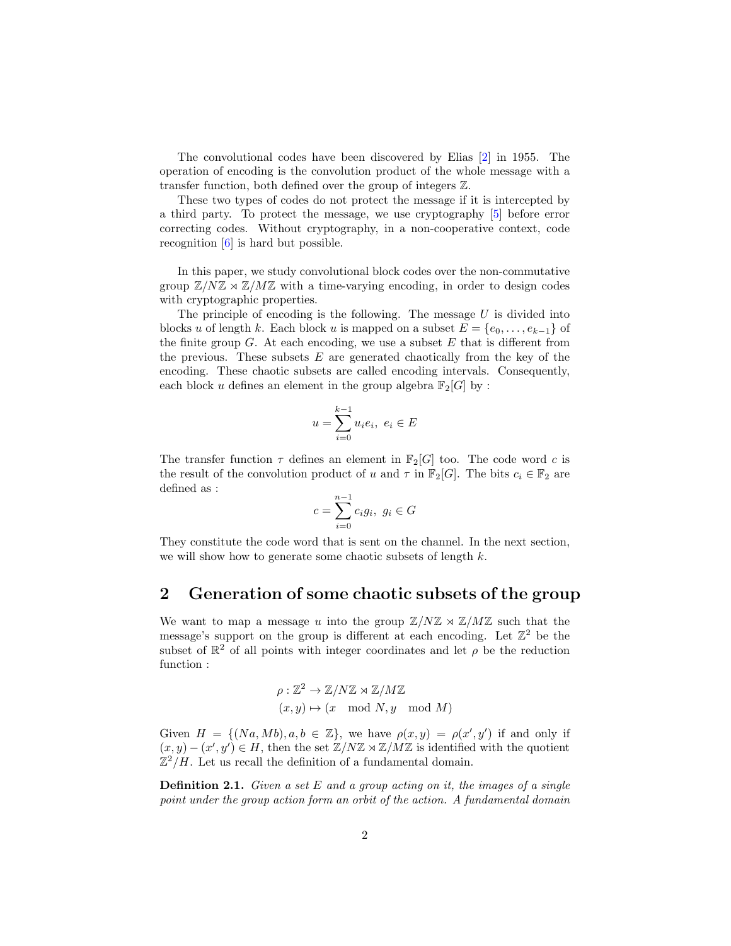The convolutional codes have been discovered by Elias [\[2\]](#page-12-2) in 1955. The operation of encoding is the convolution product of the whole message with a transfer function, both defined over the group of integers Z.

These two types of codes do not protect the message if it is intercepted by a third party. To protect the message, we use cryptography [\[5\]](#page-12-3) before error correcting codes. Without cryptography, in a non-cooperative context, code recognition [\[6\]](#page-12-4) is hard but possible.

In this paper, we study convolutional block codes over the non-commutative group  $\mathbb{Z}/N\mathbb{Z} \rtimes \mathbb{Z}/M\mathbb{Z}$  with a time-varying encoding, in order to design codes with cryptographic properties.

The principle of encoding is the following. The message  $U$  is divided into blocks u of length k. Each block u is mapped on a subset  $E = \{e_0, \ldots, e_{k-1}\}\$  of the finite group  $G$ . At each encoding, we use a subset  $E$  that is different from the previous. These subsets  $E$  are generated chaotically from the key of the encoding. These chaotic subsets are called encoding intervals. Consequently, each block u defines an element in the group algebra  $\mathbb{F}_2[G]$  by :

$$
u = \sum_{i=0}^{k-1} u_i e_i, \ e_i \in E
$$

The transfer function  $\tau$  defines an element in  $\mathbb{F}_2[G]$  too. The code word c is the result of the convolution product of u and  $\tau$  in  $\mathbb{F}_2[G]$ . The bits  $c_i \in \mathbb{F}_2$  are defined as :

$$
c = \sum_{i=0}^{n-1} c_i g_i, \ g_i \in G
$$

They constitute the code word that is sent on the channel. In the next section, we will show how to generate some chaotic subsets of length k.

# 2 Generation of some chaotic subsets of the group

We want to map a message u into the group  $\mathbb{Z}/N\mathbb{Z} \rtimes \mathbb{Z}/M\mathbb{Z}$  such that the message's support on the group is different at each encoding. Let  $\mathbb{Z}^2$  be the subset of  $\mathbb{R}^2$  of all points with integer coordinates and let  $\rho$  be the reduction function :

$$
\rho: \mathbb{Z}^2 \to \mathbb{Z}/N\mathbb{Z} \rtimes \mathbb{Z}/M\mathbb{Z}
$$
  

$$
(x, y) \mapsto (x \mod N, y \mod M)
$$

Given  $H = \{(Na, Mb), a, b \in \mathbb{Z}\},\$ we have  $\rho(x, y) = \rho(x', y')$  if and only if  $(x, y) - (x', y') \in H$ , then the set  $\mathbb{Z}/N\mathbb{Z} \rtimes \mathbb{Z}/M\mathbb{Z}$  is identified with the quotient  $\mathbb{Z}^2/H$ . Let us recall the definition of a fundamental domain.

**Definition 2.1.** Given a set E and a group acting on it, the images of a single point under the group action form an orbit of the action. A fundamental domain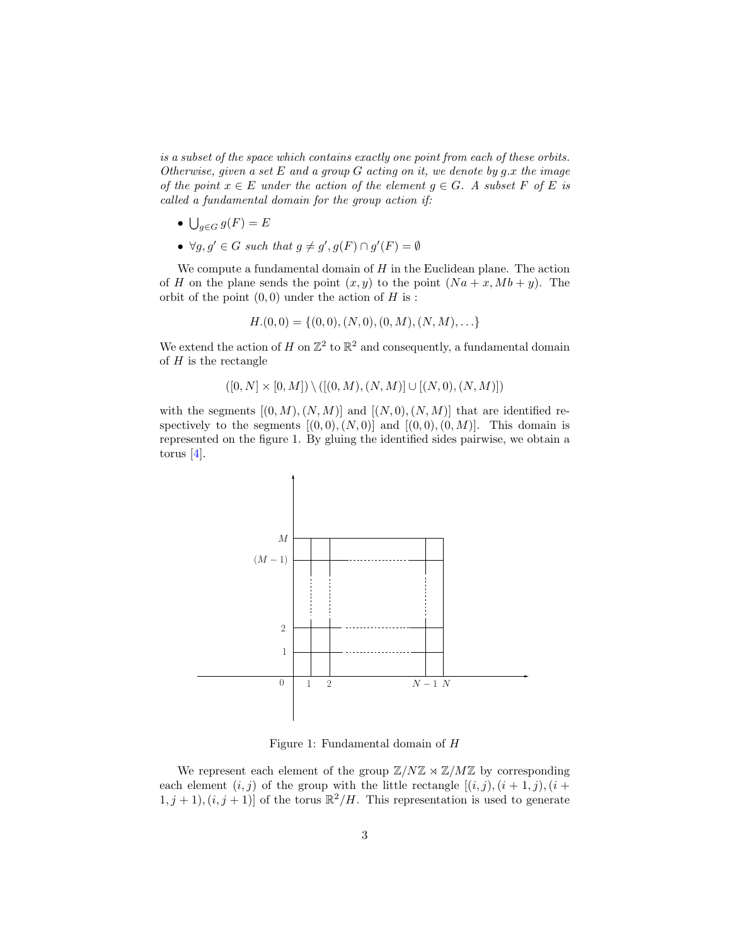is a subset of the space which contains exactly one point from each of these orbits. Otherwise, given a set  $E$  and a group  $G$  acting on it, we denote by  $g.x$  the image of the point  $x \in E$  under the action of the element  $g \in G$ . A subset F of E is called a fundamental domain for the group action if:

- $\bigcup_{g\in G} g(F)=E$
- $\forall g, g' \in G$  such that  $g \neq g', g(F) \cap g'(F) = \emptyset$

We compute a fundamental domain of  $H$  in the Euclidean plane. The action of H on the plane sends the point  $(x, y)$  to the point  $(Na + x, Mb + y)$ . The orbit of the point  $(0, 0)$  under the action of  $H$  is :

$$
H.(0,0) = \{(0,0), (N,0), (0,M), (N,M), \ldots\}
$$

We extend the action of H on  $\mathbb{Z}^2$  to  $\mathbb{R}^2$  and consequently, a fundamental domain of  $H$  is the rectangle

 $([0, N] \times [0, M]) \setminus ([(0, M), (N, M)] \cup [(N, 0), (N, M)])$ 

with the segments  $[(0, M), (N, M)]$  and  $[(N, 0), (N, M)]$  that are identified respectively to the segments  $[(0,0),(N,0)]$  and  $[(0,0),(0,M)]$ . This domain is represented on the figure [1.](#page-2-0) By gluing the identified sides pairwise, we obtain a torus [\[4\]](#page-12-5).



<span id="page-2-0"></span>Figure 1: Fundamental domain of H

We represent each element of the group  $\mathbb{Z}/N\mathbb{Z} \rtimes \mathbb{Z}/M\mathbb{Z}$  by corresponding each element  $(i, j)$  of the group with the little rectangle  $[(i, j), (i + 1, j), (i +$  $(1, j + 1), (i, j + 1)$  of the torus  $\mathbb{R}^2/H$ . This representation is used to generate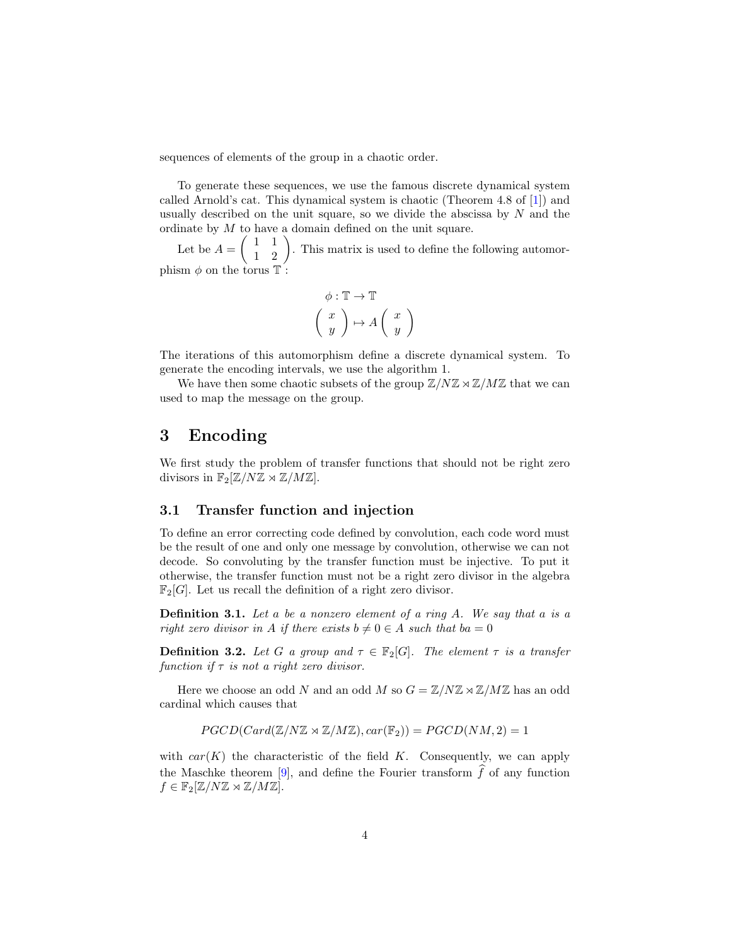sequences of elements of the group in a chaotic order.

To generate these sequences, we use the famous discrete dynamical system called Arnold's cat. This dynamical system is chaotic (Theorem 4.8 of [\[1\]](#page-12-6)) and usually described on the unit square, so we divide the abscissa by  $N$  and the ordinate by M to have a domain defined on the unit square.

Let be  $A = \begin{pmatrix} 1 & 1 \\ 1 & 2 \end{pmatrix}$ . This matrix is used to define the following automorphism  $\phi$  on the torus  $\mathbb{T}$ :

$$
\begin{array}{c}\phi:\mathbb{T}\rightarrow\mathbb{T} \\ \left(\begin{array}{c} x \\ y \end{array}\right)\mapsto A\left(\begin{array}{c} x \\ y \end{array}\right) \end{array}
$$

The iterations of this automorphism define a discrete dynamical system. To generate the encoding intervals, we use the algorithm [1.](#page-4-0)

We have then some chaotic subsets of the group  $\mathbb{Z}/N\mathbb{Z} \rtimes \mathbb{Z}/M\mathbb{Z}$  that we can used to map the message on the group.

# 3 Encoding

We first study the problem of transfer functions that should not be right zero divisors in  $\mathbb{F}_2[\mathbb{Z}/N\mathbb{Z} \rtimes \mathbb{Z}/M\mathbb{Z}].$ 

#### 3.1 Transfer function and injection

To define an error correcting code defined by convolution, each code word must be the result of one and only one message by convolution, otherwise we can not decode. So convoluting by the transfer function must be injective. To put it otherwise, the transfer function must not be a right zero divisor in the algebra  $\mathbb{F}_2[G]$ . Let us recall the definition of a right zero divisor.

**Definition 3.1.** Let a be a nonzero element of a ring A. We say that a is a right zero divisor in A if there exists  $b \neq 0 \in A$  such that  $ba = 0$ 

**Definition 3.2.** Let G a group and  $\tau \in \mathbb{F}_2[G]$ . The element  $\tau$  is a transfer function if  $\tau$  is not a right zero divisor.

Here we choose an odd N and an odd M so  $G = \mathbb{Z}/N\mathbb{Z} \rtimes \mathbb{Z}/M\mathbb{Z}$  has an odd cardinal which causes that

$$
PGCD(Card(\mathbb{Z}/N\mathbb{Z}\rtimes \mathbb{Z}/M\mathbb{Z}), car(\mathbb{F}_2)) = PGCD(NM, 2) = 1
$$

with  $car(K)$  the characteristic of the field K. Consequently, we can apply the Maschke theorem [\[9\]](#page-12-7), and define the Fourier transform  $\hat{f}$  of any function  $f \in \mathbb{F}_2[\mathbb{Z}/N\mathbb{Z} \rtimes \mathbb{Z}/M\mathbb{Z}].$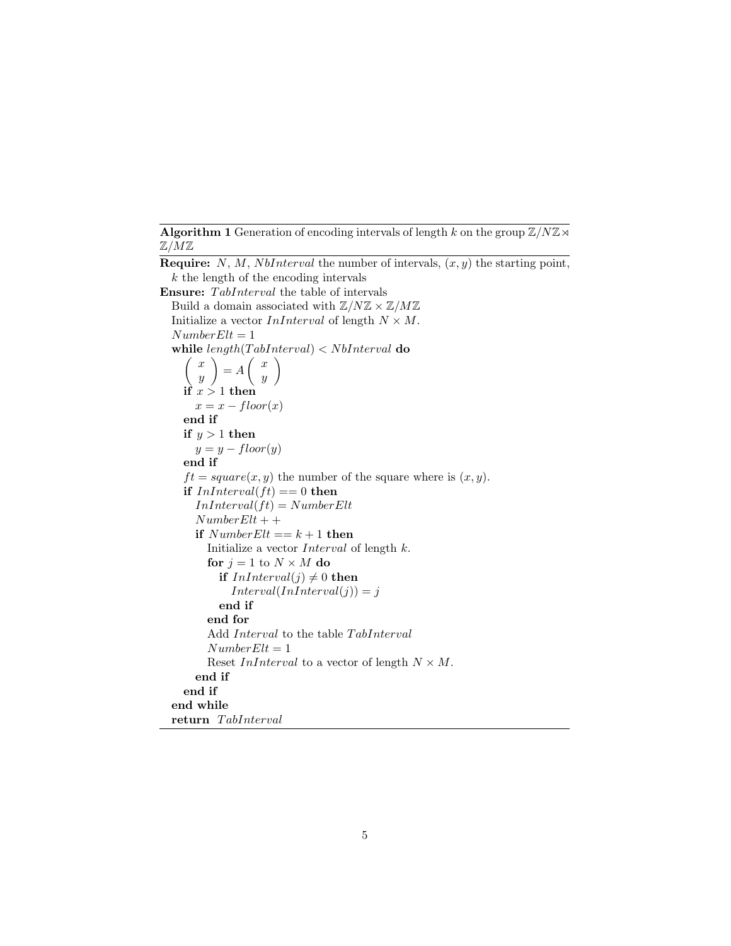**Algorithm 1** Generation of encoding intervals of length k on the group  $\mathbb{Z}/N\mathbb{Z}\times$ Z/MZ

```
Require: N, M, NbInterval the number of intervals, (x, y) the starting point,
  k the length of the encoding intervals
Ensure: TabInterval the table of intervals
  Build a domain associated with \mathbb{Z}/N\mathbb{Z} \times \mathbb{Z}/M\mathbb{Z}Initialize a vector InInterval of length N \times M.
  NumberElt = 1while length(Tablinterval) < Nblinterval do
     \sqrt{ }x
       y= A \left( \begin{array}{c} x \\ y \end{array} \right)\hat{y}\setminusif x > 1 then
       x = x - floor(x)end if
    if y > 1 then
       y = y - floor(y)end if
     ft = square(x, y) the number of the square where is (x, y).
    if InInterval (ft) == 0 then
       In Interval(f_t) = NumberEltNumberElt + +if NumberElt == k + 1 then
         Initialize a vector Interval of length k.
         for j = 1 to N \times M do
            if InInterval(j) \neq 0 then
               Interval(InInterval(j)) = jend if
         end for
         Add Interval to the table TabInterval
         NumberElt = 1Reset InInterval to a vector of length N \times M.
       end if
    end if
  end while
  return TabInterval
```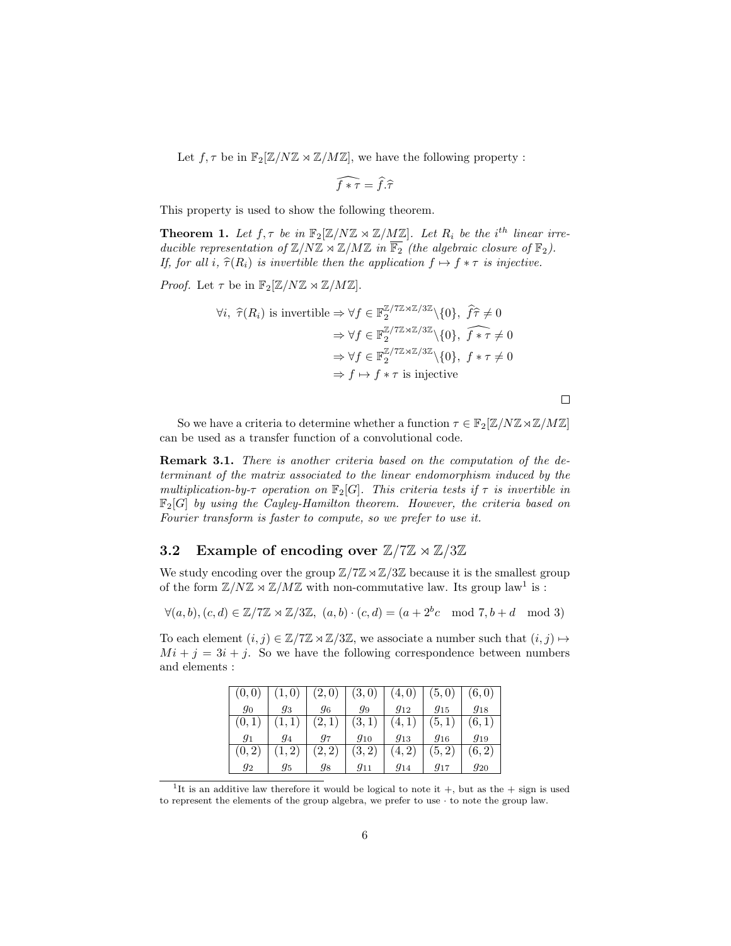Let  $f, \tau$  be in  $\mathbb{F}_2[\mathbb{Z}/N\mathbb{Z} \rtimes \mathbb{Z}/M\mathbb{Z}]$ , we have the following property :

$$
\widehat{f * \tau} = \widehat{f}.\widehat{\tau}
$$

This property is used to show the following theorem.

<span id="page-5-1"></span>**Theorem 1.** Let  $f, \tau$  be in  $\mathbb{F}_2[\mathbb{Z}/N\mathbb{Z} \rtimes \mathbb{Z}/M\mathbb{Z}]$ . Let  $R_i$  be the i<sup>th</sup> linear irreducible representation of  $\mathbb{Z}/N\mathbb{Z} \rtimes \mathbb{Z}/M\mathbb{Z}$  in  $\overline{\mathbb{F}_2}$  (the algebraic closure of  $\mathbb{F}_2$ ). If, for all i,  $\hat{\tau}(R_i)$  is invertible then the application  $f \mapsto f * \tau$  is injective.

*Proof.* Let  $\tau$  be in  $\mathbb{F}_2[\mathbb{Z}/N\mathbb{Z} \rtimes \mathbb{Z}/M\mathbb{Z}]$ .

$$
\forall i, \ \hat{\tau}(R_i) \text{ is invertible} \Rightarrow \forall f \in \mathbb{F}_2^{\mathbb{Z}/7\mathbb{Z} \times \mathbb{Z}/3\mathbb{Z}} \setminus \{0\}, \ \hat{f}\hat{\tau} \neq 0
$$

$$
\Rightarrow \forall f \in \mathbb{F}_2^{\mathbb{Z}/7\mathbb{Z} \times \mathbb{Z}/3\mathbb{Z}} \setminus \{0\}, \ \hat{f} \ast \tau \neq 0
$$

$$
\Rightarrow \forall f \in \mathbb{F}_2^{\mathbb{Z}/7\mathbb{Z} \times \mathbb{Z}/3\mathbb{Z}} \setminus \{0\}, \ f \ast \tau \neq 0
$$

$$
\Rightarrow f \mapsto f \ast \tau \text{ is injective}
$$

So we have a criteria to determine whether a function  $\tau \in \mathbb{F}_2[\mathbb{Z}/N\mathbb{Z} \rtimes \mathbb{Z}/M\mathbb{Z}]$ can be used as a transfer function of a convolutional code.

Remark 3.1. There is another criteria based on the computation of the determinant of the matrix associated to the linear endomorphism induced by the multiplication-by-τ operation on  $\mathbb{F}_2[G]$ . This criteria tests if  $\tau$  is invertible in  $\mathbb{F}_2[G]$  by using the Cayley-Hamilton theorem. However, the criteria based on Fourier transform is faster to compute, so we prefer to use it.

#### 3.2 Example of encoding over  $\mathbb{Z}/7\mathbb{Z} \rtimes \mathbb{Z}/3\mathbb{Z}$

We study encoding over the group  $\mathbb{Z}/7\mathbb{Z}\rtimes\mathbb{Z}/3\mathbb{Z}$  because it is the smallest group of the form  $\mathbb{Z}/N\mathbb{Z} \rtimes \mathbb{Z}/M\mathbb{Z}$  with non-commutative law. Its group law<sup>[1](#page-5-0)</sup> is:

 $\forall (a, b), (c, d) \in \mathbb{Z}/7\mathbb{Z} \rtimes \mathbb{Z}/3\mathbb{Z}, (a, b) \cdot (c, d) = (a + 2^b c \mod 7, b + d \mod 3)$ 

To each element  $(i, j) \in \mathbb{Z}/7\mathbb{Z} \rtimes \mathbb{Z}/3\mathbb{Z}$ , we associate a number such that  $(i, j) \mapsto$  $Mi + j = 3i + j$ . So we have the following correspondence between numbers and elements :

| (0,0)  |        | $(1,0)$ $(2,0)$ $(3,0)$ $(4,0)$ |                 |          | (5,0) (6,0) |        |
|--------|--------|---------------------------------|-----------------|----------|-------------|--------|
| 90     | 93     | 96                              | 99              | $g_{12}$ | 915         | 918    |
| (0,1)  | (1,1)  |                                 | $(2,1)$ $(3,1)$ | (4,1)    | (5,1)       | (6,1)  |
| 91     | 94     | $q_7$                           | 910             | $g_{13}$ | 916         | 919    |
| (0, 2) | (1, 2) | (2,2)                           | (3, 2)          | (4, 2)   | (5, 2)      | (6, 2) |
|        |        |                                 |                 |          |             |        |

<span id="page-5-0"></span><sup>&</sup>lt;sup>1</sup>It is an additive law therefore it would be logical to note it +, but as the + sign is used to represent the elements of the group algebra, we prefer to use · to note the group law.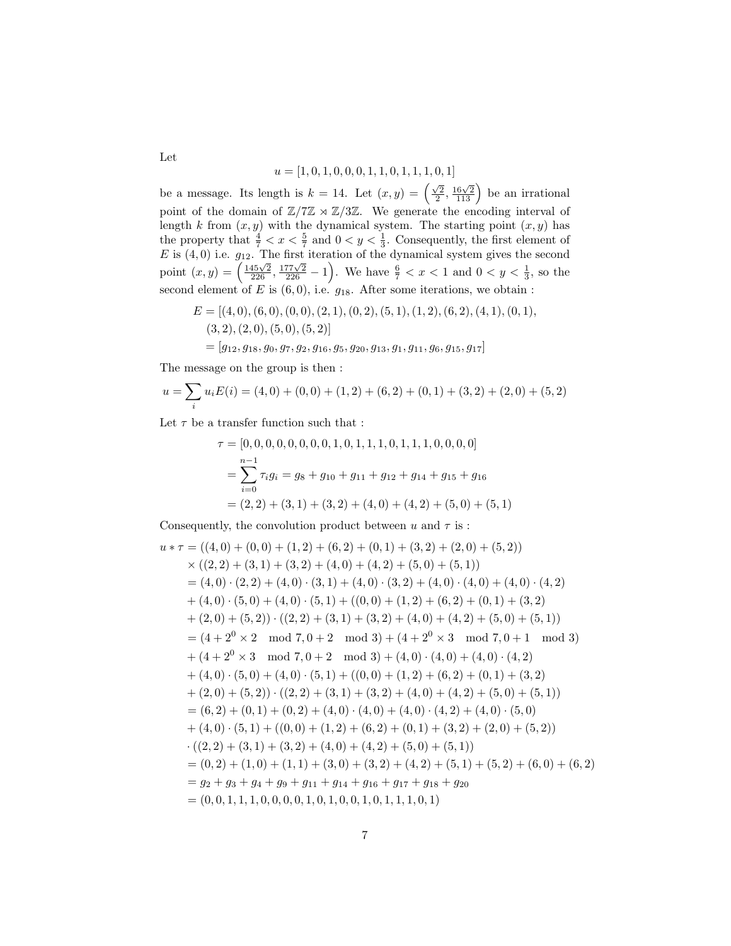#### $u = [1, 0, 1, 0, 0, 0, 1, 1, 0, 1, 1, 1, 0, 1]$

be a message. Its length is  $k = 14$ . Let  $(x, y) = \left(\frac{\sqrt{2}}{2}, \frac{16\sqrt{2}}{113}\right)$  be an irrational point of the domain of  $\mathbb{Z}/7\mathbb{Z} \rtimes \mathbb{Z}/3\mathbb{Z}$ . We generate the encoding interval of length k from  $(x, y)$  with the dynamical system. The starting point  $(x, y)$  has the property that  $\frac{4}{7} < x < \frac{5}{7}$  and  $0 < y < \frac{1}{3}$ . Consequently, the first element of E is  $(4,0)$  i.e.  $g_{12}$ . The first iteration of the dynamical system gives the second point  $(x, y) = \left(\frac{145\sqrt{2}}{226}, \frac{177\sqrt{2}}{226} - 1\right)$ . We have  $\frac{6}{7} < x < 1$  and  $0 < y < \frac{1}{3}$ , so the second element of E is  $(6, 0)$ , i.e.  $g_{18}$ . After some iterations, we obtain :

$$
E = [(4, 0), (6, 0), (0, 0), (2, 1), (0, 2), (5, 1), (1, 2), (6, 2), (4, 1), (0, 1),(3, 2), (2, 0), (5, 0), (5, 2)]
$$
  
= [g<sub>12</sub>, g<sub>18</sub>, g<sub>0</sub>, g<sub>7</sub>, g<sub>2</sub>, g<sub>16</sub>, g<sub>5</sub>, g<sub>20</sub>, g<sub>13</sub>, g<sub>1</sub>, g<sub>11</sub>, g<sub>6</sub>, g<sub>15</sub>, g<sub>17</sub>]

The message on the group is then :

$$
u = \sum_{i} u_i E(i) = (4,0) + (0,0) + (1,2) + (6,2) + (0,1) + (3,2) + (2,0) + (5,2)
$$

Let  $\tau$  be a transfer function such that :

$$
\tau = [0, 0, 0, 0, 0, 0, 0, 0, 1, 0, 1, 1, 1, 0, 1, 1, 1, 0, 0, 0, 0]
$$
  
= 
$$
\sum_{i=0}^{n-1} \tau_i g_i = g_8 + g_{10} + g_{11} + g_{12} + g_{14} + g_{15} + g_{16}
$$
  
= 
$$
(2, 2) + (3, 1) + (3, 2) + (4, 0) + (4, 2) + (5, 0) + (5, 1)
$$

Consequently, the convolution product between u and  $\tau$  is :

$$
u * \tau = ((4, 0) + (0, 0) + (1, 2) + (6, 2) + (0, 1) + (3, 2) + (2, 0) + (5, 2))
$$
  
\n
$$
\times ((2, 2) + (3, 1) + (3, 2) + (4, 0) + (4, 2) + (5, 0) + (5, 1))
$$
  
\n
$$
= (4, 0) \cdot (2, 2) + (4, 0) \cdot (3, 1) + (4, 0) \cdot (3, 2) + (4, 0) \cdot (4, 0) + (4, 0) \cdot (4, 2)
$$
  
\n
$$
+ (4, 0) \cdot (5, 0) + (4, 0) \cdot (5, 1) + ((0, 0) + (1, 2) + (6, 2) + (0, 1) + (3, 2)
$$
  
\n
$$
+ (2, 0) + (5, 2)) \cdot ((2, 2) + (3, 1) + (3, 2) + (4, 0) + (4, 2) + (5, 0) + (5, 1))
$$
  
\n
$$
= (4 + 2^0 \times 2 \mod 7, 0 + 2 \mod 3) + (4 + 2^0 \times 3 \mod 7, 0 + 1 \mod 3)
$$
  
\n
$$
+ (4 + 2^0 \times 3 \mod 7, 0 + 2 \mod 3) + (4, 0) \cdot (4, 0) + (4, 0) \cdot (4, 2)
$$
  
\n
$$
+ (4, 0) \cdot (5, 0) + (4, 0) \cdot (5, 1) + ((0, 0) + (1, 2) + (6, 2) + (0, 1) + (3, 2)
$$
  
\n
$$
+ (2, 0) + (5, 2)) \cdot ((2, 2) + (3, 1) + (3, 2) + (4, 0) + (4, 2) + (5, 0) + (5, 1))
$$
  
\n
$$
= (6, 2) + (0, 1) + (0, 2) + (4, 0) \cdot (4, 0) + (4, 0) \cdot (4, 2) + (4, 0) \cdot (5, 0)
$$
  
\n
$$
+ (4, 0) \cdot (5, 1) + ((0, 0) + (1,
$$

Let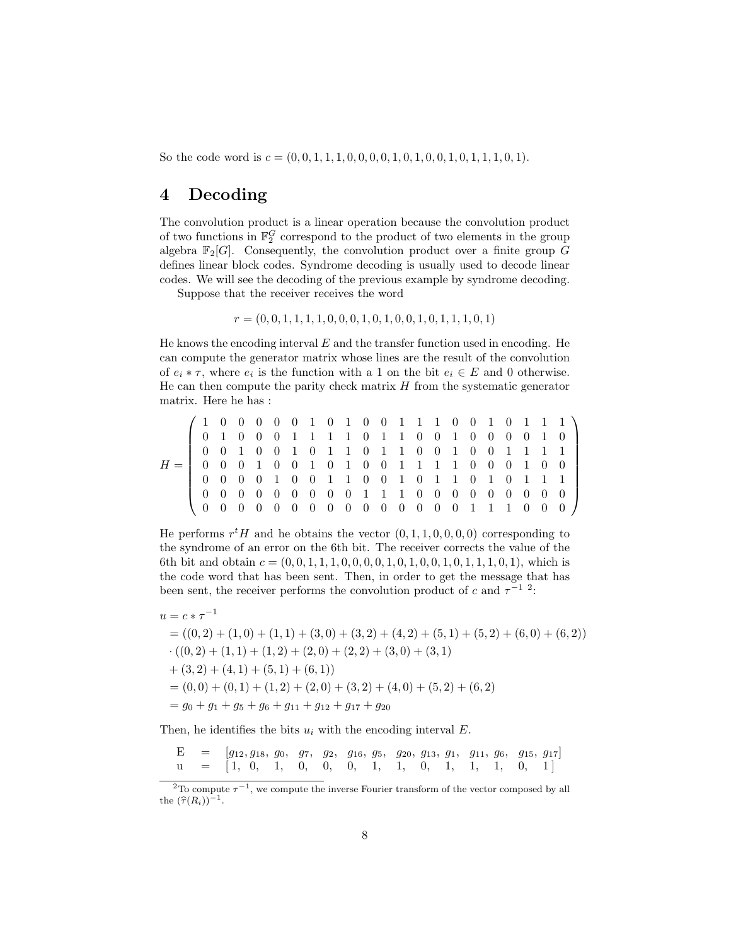So the code word is  $c = (0, 0, 1, 1, 1, 0, 0, 0, 0, 1, 0, 1, 0, 0, 1, 0, 1, 1, 1, 0, 1).$ 

# 4 Decoding

The convolution product is a linear operation because the convolution product of two functions in  $\mathbb{F}_2^G$  correspond to the product of two elements in the group algebra  $\mathbb{F}_2[G]$ . Consequently, the convolution product over a finite group G defines linear block codes. Syndrome decoding is usually used to decode linear codes. We will see the decoding of the previous example by syndrome decoding.

Suppose that the receiver receives the word

$$
r = (0, 0, 1, 1, 1, 1, 0, 0, 0, 1, 0, 1, 0, 0, 1, 0, 1, 1, 1, 0, 1)
$$

He knows the encoding interval  $E$  and the transfer function used in encoding. He can compute the generator matrix whose lines are the result of the convolution of  $e_i * \tau$ , where  $e_i$  is the function with a 1 on the bit  $e_i \in E$  and 0 otherwise. He can then compute the parity check matrix  $H$  from the systematic generator matrix. Here he has :

|               |                                                                                                                                                     |                   |                                     |  |  |  |  |  |  |  |  | $\begin{array}{cccccccccccccccc} 1 & 0 & 0 & 0 & 0 & 0 & 1 & 0 & 1 & 0 & 0 & 1 & 1 & 1 & 0 & 0 & 1 & 0 & 1 & 1 & 1 \\ 0 & 1 & 0 & 0 & 0 & 1 & 1 & 1 & 1 & 0 & 1 & 1 & 0 & 0 & 1 & 0 & 0 & 0 & 0 & 1 & 0 \\ \end{array}$ |  |
|---------------|-----------------------------------------------------------------------------------------------------------------------------------------------------|-------------------|-------------------------------------|--|--|--|--|--|--|--|--|-------------------------------------------------------------------------------------------------------------------------------------------------------------------------------------------------------------------------|--|
|               | $\begin{array}{ ccccccccccccccccccc }\hline 0 & 0 & 1 & 0 & 0 & 1 & 0 & 1 & 1 & 0 & 1 & 1 & 0 & 0 & 1 & 0 & 0 & 1 & 1 & 1 & 1 \\\hline \end{array}$ |                   |                                     |  |  |  |  |  |  |  |  |                                                                                                                                                                                                                         |  |
| $H = \square$ |                                                                                                                                                     |                   |                                     |  |  |  |  |  |  |  |  | $\begin{array}{cccccccccccccccc} 0 & 0 & 0 & 1 & 0 & 0 & 1 & 0 & 1 & 0 & 0 & 1 & 1 & 1 & 1 & 0 & 0 & 0 & 1 & 0 & 0 \\ 0 & 0 & 0 & 0 & 1 & 0 & 0 & 1 & 1 & 0 & 0 & 1 & 0 & 1 & 1 & 0 & 1 & 0 & 1 & 1 & 1 \end{array}$    |  |
|               |                                                                                                                                                     |                   |                                     |  |  |  |  |  |  |  |  |                                                                                                                                                                                                                         |  |
|               |                                                                                                                                                     | $0\quad 0\quad 0$ | 0 0 0 0 0 0 1 1 1 0 0 0 0 0 0 0 0 0 |  |  |  |  |  |  |  |  |                                                                                                                                                                                                                         |  |
|               |                                                                                                                                                     | $\sim 0$          |                                     |  |  |  |  |  |  |  |  |                                                                                                                                                                                                                         |  |

He performs  $r^t H$  and he obtains the vector  $(0, 1, 1, 0, 0, 0, 0)$  corresponding to the syndrome of an error on the 6th bit. The receiver corrects the value of the 6th bit and obtain  $c = (0, 0, 1, 1, 1, 0, 0, 0, 0, 1, 0, 1, 0, 0, 1, 0, 1, 1, 1, 0, 1)$ , which is the code word that has been sent. Then, in order to get the message that has been sent, the receiver performs the convolution product of c and  $\tau^{-1}$  ?:

$$
u = c * \tau^{-1}
$$

$$
= ((0,2) + (1,0) + (1,1) + (3,0) + (3,2) + (4,2) + (5,1) + (5,2) + (6,0) + (6,2))
$$
  
\n
$$
\cdot ((0,2) + (1,1) + (1,2) + (2,0) + (2,2) + (3,0) + (3,1)
$$
  
\n
$$
+ (3,2) + (4,1) + (5,1) + (6,1))
$$
  
\n
$$
= (0,0) + (0,1) + (1,2) + (2,0) + (3,2) + (4,0) + (5,2) + (6,2)
$$
  
\n
$$
= g_0 + g_1 + g_5 + g_6 + g_{11} + g_{12} + g_{17} + g_{20}
$$

Then, he identifies the bits  $u_i$  with the encoding interval  $E$ .

|  | $E = [g_{12}, g_{18}, g_0, g_7, g_2, g_{16}, g_5, g_{20}, g_{13}, g_1, g_{11}, g_6, g_{15}, g_{17}]$ |  |  |  |  |  |  |
|--|------------------------------------------------------------------------------------------------------|--|--|--|--|--|--|
|  | $u = [1, 0, 1, 0, 0, 0, 1, 1, 0, 1, 1, 1, 0, 1]$                                                     |  |  |  |  |  |  |

<span id="page-7-0"></span><sup>&</sup>lt;sup>2</sup>To compute  $\tau^{-1}$ , we compute the inverse Fourier transform of the vector composed by all the  $(\widehat{\tau}(R_i))^{-1}$ .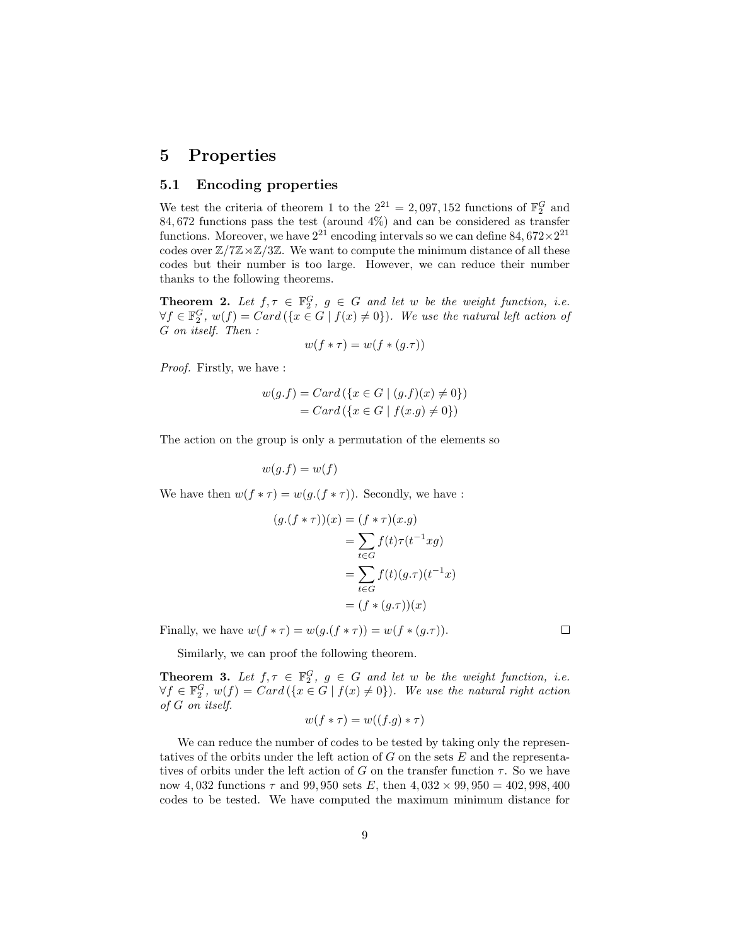### 5 Properties

#### 5.1 Encoding properties

We test the criteria of theorem [1](#page-5-1) to the  $2^{21} = 2{,}097{,}152$  functions of  $\mathbb{F}_2^G$  and 84, 672 functions pass the test (around 4%) and can be considered as transfer functions. Moreover, we have  $2^{21}$  encoding intervals so we can define  $84,672\times2^{21}$ codes over  $\mathbb{Z}/7\mathbb{Z} \rtimes \mathbb{Z}/3\mathbb{Z}$ . We want to compute the minimum distance of all these codes but their number is too large. However, we can reduce their number thanks to the following theorems.

**Theorem 2.** Let  $f, \tau \in \mathbb{F}_2^G$ ,  $g \in G$  and let w be the weight function, i.e.  $\forall f \in \mathbb{F}_2^G$ ,  $w(f) = Card (\lbrace x \in G \mid f(x) \neq 0 \rbrace)$ . We use the natural left action of G on itself. Then :

$$
w(f * \tau) = w(f * (g.\tau))
$$

Proof. Firstly, we have :

$$
w(g.f) = Card (\{x \in G \mid (g.f)(x) \neq 0\})
$$
  
= Card (\{x \in G \mid f(x.g) \neq 0\})

The action on the group is only a permutation of the elements so

 $w(q,f) = w(f)$ 

We have then  $w(f * \tau) = w(g.(f * \tau))$ . Secondly, we have :

$$
(g.(f * \tau))(x) = (f * \tau)(x.g)
$$

$$
= \sum_{t \in G} f(t)\tau(t^{-1}xg)
$$

$$
= \sum_{t \in G} f(t)(g.\tau)(t^{-1}x)
$$

$$
= (f * (g.\tau))(x)
$$

Finally, we have  $w(f * \tau) = w(g.(f * \tau)) = w(f * (g.\tau)).$ 

Similarly, we can proof the following theorem.

**Theorem 3.** Let  $f, \tau \in \mathbb{F}_2^G$ ,  $g \in G$  and let w be the weight function, i.e.  $\forall f \in \mathbb{F}_2^G$ ,  $w(f) = Card (\lbrace x \in G \mid f(x) \neq 0 \rbrace)$ . We use the natural right action of G on itself.

 $\Box$ 

$$
w(f * \tau) = w((f.g) * \tau)
$$

We can reduce the number of codes to be tested by taking only the representatives of the orbits under the left action of  $G$  on the sets  $E$  and the representatives of orbits under the left action of G on the transfer function  $\tau$ . So we have now 4, 032 functions  $\tau$  and 99, 950 sets E, then  $4,032 \times 99,950 = 402,998,400$ codes to be tested. We have computed the maximum minimum distance for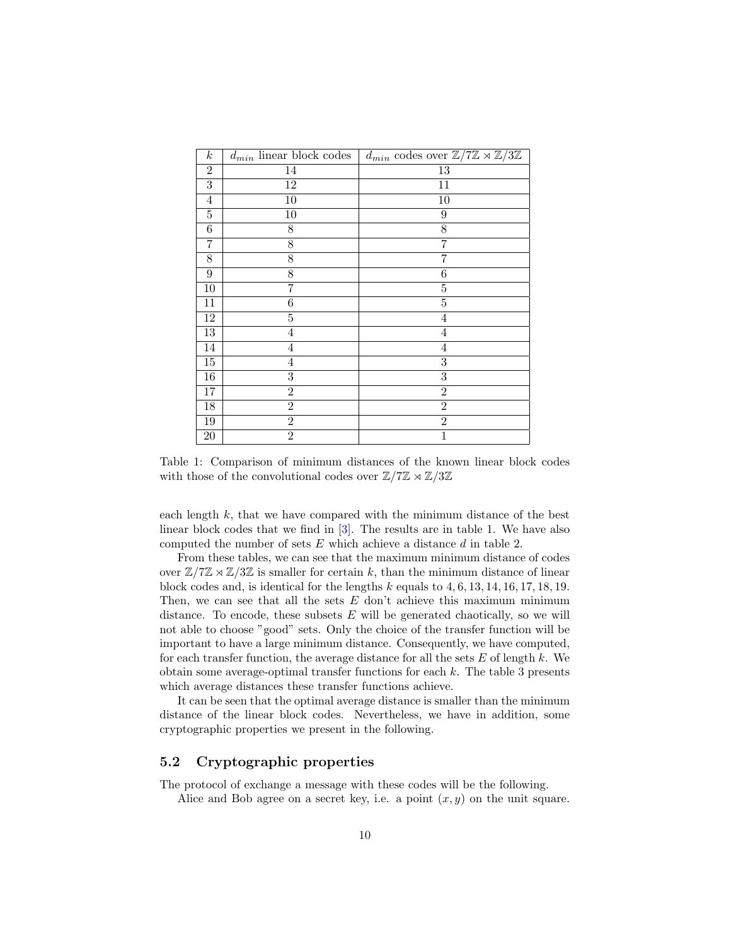<span id="page-9-0"></span>

| $\boldsymbol{k}$ | $d_{min}$ linear block codes | $d_{min}$ codes over $\mathbb{Z}/7\mathbb{Z} \rtimes \mathbb{Z}/3\mathbb{Z}$ |
|------------------|------------------------------|------------------------------------------------------------------------------|
| $\mathbf{2}$     | 14                           | 13                                                                           |
| $\overline{3}$   | $\overline{12}$              | 11                                                                           |
| $\overline{4}$   | 10                           | 10                                                                           |
| $\bf 5$          | 10                           | 9                                                                            |
| $\;6\;$          | 8                            | 8                                                                            |
| 7                | 8                            | 7                                                                            |
| $8\,$            | 8                            | 7                                                                            |
| $\boldsymbol{9}$ | 8                            | 6                                                                            |
| 10               | $\overline{7}$               | $\overline{5}$                                                               |
| 11               | $\overline{6}$               | $\overline{5}$                                                               |
| 12               | 5                            | 4                                                                            |
| 13               | 4                            | $\overline{4}$                                                               |
| 14               | 4                            | $\overline{4}$                                                               |
| 15               | $\overline{4}$               | 3                                                                            |
| 16               | $\boldsymbol{3}$             | 3                                                                            |
| 17               | $\overline{2}$               | $\overline{2}$                                                               |
| 18               | $\overline{2}$               | $\overline{2}$                                                               |
| 19               | $\overline{2}$               | $\overline{2}$                                                               |
| 20               | $\overline{2}$               | 1                                                                            |

Table 1: Comparison of minimum distances of the known linear block codes with those of the convolutional codes over  $\mathbb{Z}/7\mathbb{Z} \rtimes \mathbb{Z}/3\mathbb{Z}$ 

each length  $k$ , that we have compared with the minimum distance of the best linear block codes that we find in [\[3\]](#page-12-8). The results are in table [1.](#page-9-0) We have also computed the number of sets  $E$  which achieve a distance  $d$  in table [2.](#page-10-0)

From these tables, we can see that the maximum minimum distance of codes over  $\mathbb{Z}/7\mathbb{Z} \rtimes \mathbb{Z}/3\mathbb{Z}$  is smaller for certain k, than the minimum distance of linear block codes and, is identical for the lengths  $k$  equals to  $4, 6, 13, 14, 16, 17, 18, 19$ . Then, we can see that all the sets  $E$  don't achieve this maximum minimum distance. To encode, these subsets  $E$  will be generated chaotically, so we will not able to choose "good" sets. Only the choice of the transfer function will be important to have a large minimum distance. Consequently, we have computed, for each transfer function, the average distance for all the sets  $E$  of length  $k$ . We obtain some average-optimal transfer functions for each k. The table [3](#page-11-0) presents which average distances these transfer functions achieve.

It can be seen that the optimal average distance is smaller than the minimum distance of the linear block codes. Nevertheless, we have in addition, some cryptographic properties we present in the following.

#### 5.2 Cryptographic properties

The protocol of exchange a message with these codes will be the following.

Alice and Bob agree on a secret key, i.e. a point  $(x, y)$  on the unit square.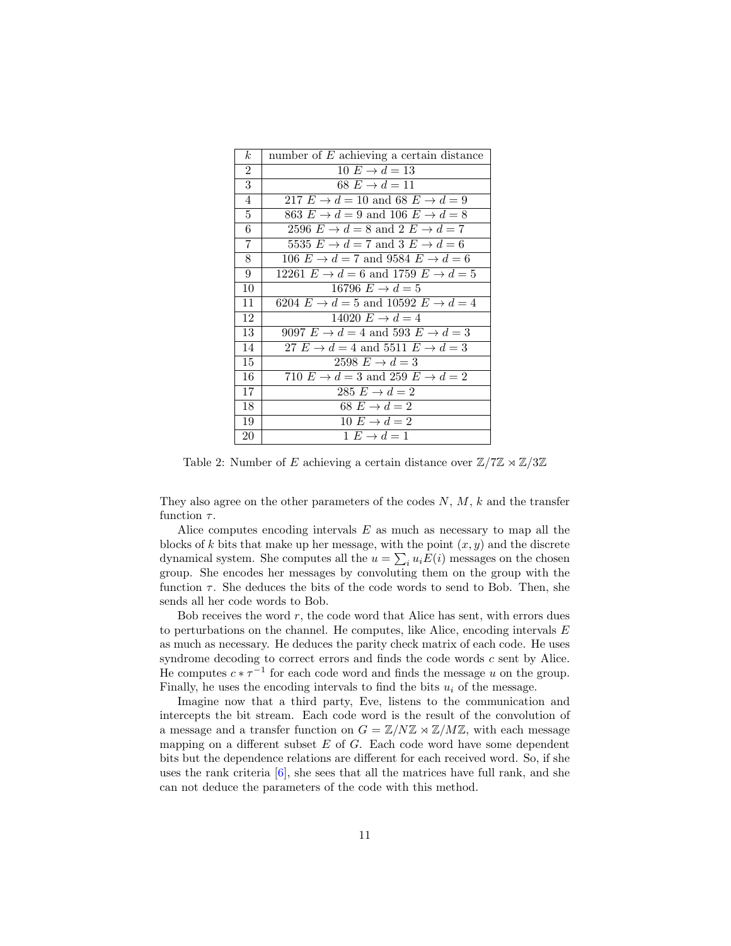<span id="page-10-0"></span>

| $\boldsymbol{k}$ | number of $E$ achieving a certain distance                 |
|------------------|------------------------------------------------------------|
| $\overline{2}$   | $10 E \rightarrow d = 13$                                  |
| $\overline{3}$   | 68 $E \rightarrow d = 11$                                  |
| $\overline{4}$   | 217 $E \rightarrow d = 10$ and 68 $E \rightarrow d = 9$    |
| 5                | 863 $E \rightarrow d = 9$ and 106 $E \rightarrow d = 8$    |
| 6                | 2596 $E \rightarrow d = 8$ and $2 E \rightarrow d = 7$     |
| 7                | 5535 $E \rightarrow d = 7$ and $3 E \rightarrow d = 6$     |
| 8                | 106 $E \rightarrow d = 7$ and 9584 $E \rightarrow d = 6$   |
| 9                | 12261 $E \rightarrow d = 6$ and 1759 $E \rightarrow d = 5$ |
| 10               | $16796 E \to d = 5$                                        |
| 11               | 6204 $E \rightarrow d = 5$ and 10592 $E \rightarrow d = 4$ |
| 12               | $14020 E \rightarrow d = 4$                                |
| 13               | 9097 $E \rightarrow d = 4$ and 593 $E \rightarrow d = 3$   |
| 14               | 27 $E \rightarrow d = 4$ and 5511 $E \rightarrow d = 3$    |
| 15               | 2598 $E \rightarrow d = 3$                                 |
| 16               | 710 $E \rightarrow d = 3$ and 259 $E \rightarrow d = 2$    |
| 17               | 285 $E \rightarrow d = 2$                                  |
| 18               | 68 $E \rightarrow d=2$                                     |
| 19               | $10 E \rightarrow d = 2$                                   |
| 20               | $1 E \rightarrow d = 1$                                    |

Table 2: Number of E achieving a certain distance over  $\mathbb{Z}/7\mathbb{Z} \rtimes \mathbb{Z}/3\mathbb{Z}$ 

They also agree on the other parameters of the codes  $N, M, k$  and the transfer function  $\tau$ .

Alice computes encoding intervals  $E$  as much as necessary to map all the blocks of k bits that make up her message, with the point  $(x, y)$  and the discrete dynamical system. She computes all the  $u = \sum_i u_i E(i)$  messages on the chosen group. She encodes her messages by convoluting them on the group with the function  $\tau$ . She deduces the bits of the code words to send to Bob. Then, she sends all her code words to Bob.

Bob receives the word  $r$ , the code word that Alice has sent, with errors dues to perturbations on the channel. He computes, like Alice, encoding intervals E as much as necessary. He deduces the parity check matrix of each code. He uses syndrome decoding to correct errors and finds the code words  $c$  sent by Alice. He computes  $c \times \tau^{-1}$  for each code word and finds the message u on the group. Finally, he uses the encoding intervals to find the bits  $u_i$  of the message.

Imagine now that a third party, Eve, listens to the communication and intercepts the bit stream. Each code word is the result of the convolution of a message and a transfer function on  $G = \mathbb{Z}/N\mathbb{Z} \rtimes \mathbb{Z}/M\mathbb{Z}$ , with each message mapping on a different subset  $E$  of  $G$ . Each code word have some dependent bits but the dependence relations are different for each received word. So, if she uses the rank criteria [\[6\]](#page-12-4), she sees that all the matrices have full rank, and she can not deduce the parameters of the code with this method.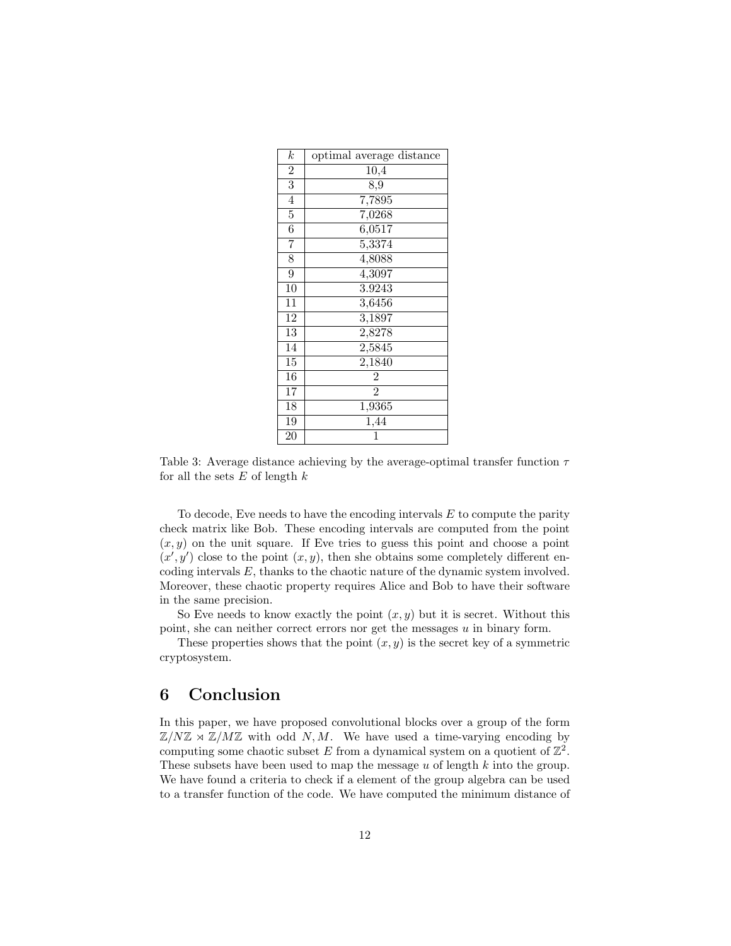<span id="page-11-0"></span>

| $\boldsymbol{k}$ | optimal average distance |
|------------------|--------------------------|
| $\overline{2}$   | 10,4                     |
| $\overline{3}$   | 8,9                      |
| $\overline{4}$   | 7,7895                   |
| 5                | 7,0268                   |
| 6                | $\overline{6,}0517$      |
| 7                | 5,3374                   |
| 8                | 4,8088                   |
| 9                | 4,3097                   |
| 10               | 3.9243                   |
| 11               | 3,6456                   |
| 12               | 3,1897                   |
| 13               | 2,8278                   |
| 14               | 2,5845                   |
| 15               | $\overline{2,}1840$      |
| $\overline{1}6$  | $\overline{2}$           |
| 17               | $\overline{2}$           |
| 18               | 1,9365                   |
| 19               | 1,44                     |
| 20               | 1                        |

Table 3: Average distance achieving by the average-optimal transfer function  $\tau$ for all the sets  $E$  of length  $k$ 

To decode, Eve needs to have the encoding intervals  $E$  to compute the parity check matrix like Bob. These encoding intervals are computed from the point  $(x, y)$  on the unit square. If Eve tries to guess this point and choose a point  $(x', y')$  close to the point  $(x, y)$ , then she obtains some completely different encoding intervals E, thanks to the chaotic nature of the dynamic system involved. Moreover, these chaotic property requires Alice and Bob to have their software in the same precision.

So Eve needs to know exactly the point  $(x, y)$  but it is secret. Without this point, she can neither correct errors nor get the messages  $u$  in binary form.

These properties shows that the point  $(x, y)$  is the secret key of a symmetric cryptosystem.

# 6 Conclusion

In this paper, we have proposed convolutional blocks over a group of the form  $\mathbb{Z}/N\mathbb{Z} \rtimes \mathbb{Z}/M\mathbb{Z}$  with odd N, M. We have used a time-varying encoding by computing some chaotic subset E from a dynamical system on a quotient of  $\mathbb{Z}^2$ . These subsets have been used to map the message  $u$  of length  $k$  into the group. We have found a criteria to check if a element of the group algebra can be used to a transfer function of the code. We have computed the minimum distance of